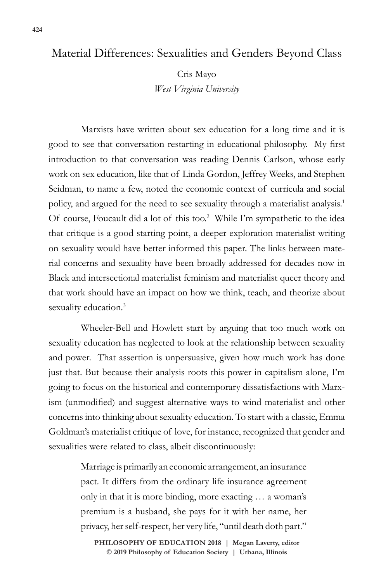## Material Differences: Sexualities and Genders Beyond Class

Cris Mayo *West Virginia University*

Marxists have written about sex education for a long time and it is good to see that conversation restarting in educational philosophy. My first introduction to that conversation was reading Dennis Carlson, whose early work on sex education, like that of Linda Gordon, Jeffrey Weeks, and Stephen Seidman, to name a few, noted the economic context of curricula and social policy, and argued for the need to see sexuality through a materialist analysis.<sup>1</sup> Of course, Foucault did a lot of this too.<sup>2</sup> While I'm sympathetic to the idea that critique is a good starting point, a deeper exploration materialist writing on sexuality would have better informed this paper. The links between material concerns and sexuality have been broadly addressed for decades now in Black and intersectional materialist feminism and materialist queer theory and that work should have an impact on how we think, teach, and theorize about sexuality education.<sup>3</sup>

Wheeler-Bell and Howlett start by arguing that too much work on sexuality education has neglected to look at the relationship between sexuality and power. That assertion is unpersuasive, given how much work has done just that. But because their analysis roots this power in capitalism alone, I'm going to focus on the historical and contemporary dissatisfactions with Marxism (unmodified) and suggest alternative ways to wind materialist and other concerns into thinking about sexuality education. To start with a classic, Emma Goldman's materialist critique of love, for instance, recognized that gender and sexualities were related to class, albeit discontinuously:

> Marriage is primarily an economic arrangement, an insurance pact. It differs from the ordinary life insurance agreement only in that it is more binding, more exacting … a woman's premium is a husband, she pays for it with her name, her privacy, her self-respect, her very life, "until death doth part."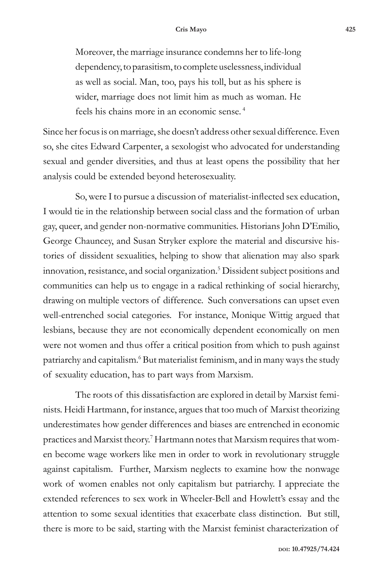Moreover, the marriage insurance condemns her to life-long dependency, to parasitism, to complete uselessness, individual as well as social. Man, too, pays his toll, but as his sphere is wider, marriage does not limit him as much as woman. He feels his chains more in an economic sense. <sup>4</sup>

Since her focus is on marriage, she doesn't address other sexual difference. Even so, she cites Edward Carpenter, a sexologist who advocated for understanding sexual and gender diversities, and thus at least opens the possibility that her analysis could be extended beyond heterosexuality.

So, were I to pursue a discussion of materialist-inflected sex education, I would tie in the relationship between social class and the formation of urban gay, queer, and gender non-normative communities. Historians John D'Emilio, George Chauncey, and Susan Stryker explore the material and discursive histories of dissident sexualities, helping to show that alienation may also spark innovation, resistance, and social organization.5 Dissident subject positions and communities can help us to engage in a radical rethinking of social hierarchy, drawing on multiple vectors of difference. Such conversations can upset even well-entrenched social categories. For instance, Monique Wittig argued that lesbians, because they are not economically dependent economically on men were not women and thus offer a critical position from which to push against patriarchy and capitalism.<sup>6</sup> But materialist feminism, and in many ways the study of sexuality education, has to part ways from Marxism.

The roots of this dissatisfaction are explored in detail by Marxist feminists. Heidi Hartmann, for instance, argues that too much of Marxist theorizing underestimates how gender differences and biases are entrenched in economic practices and Marxist theory.<sup>7</sup> Hartmann notes that Marxism requires that women become wage workers like men in order to work in revolutionary struggle against capitalism. Further, Marxism neglects to examine how the nonwage work of women enables not only capitalism but patriarchy. I appreciate the extended references to sex work in Wheeler-Bell and Howlett's essay and the attention to some sexual identities that exacerbate class distinction. But still, there is more to be said, starting with the Marxist feminist characterization of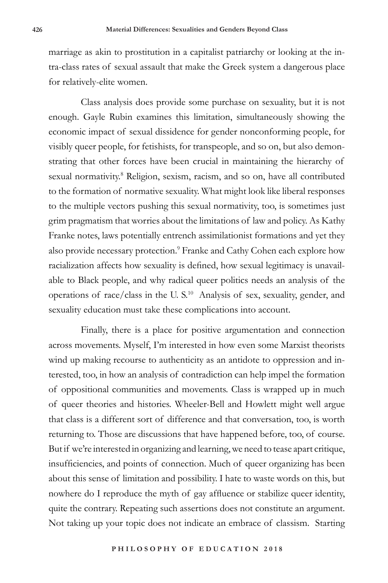marriage as akin to prostitution in a capitalist patriarchy or looking at the intra-class rates of sexual assault that make the Greek system a dangerous place for relatively-elite women.

Class analysis does provide some purchase on sexuality, but it is not enough. Gayle Rubin examines this limitation, simultaneously showing the economic impact of sexual dissidence for gender nonconforming people, for visibly queer people, for fetishists, for transpeople, and so on, but also demonstrating that other forces have been crucial in maintaining the hierarchy of sexual normativity.<sup>8</sup> Religion, sexism, racism, and so on, have all contributed to the formation of normative sexuality. What might look like liberal responses to the multiple vectors pushing this sexual normativity, too, is sometimes just grim pragmatism that worries about the limitations of law and policy. As Kathy Franke notes, laws potentially entrench assimilationist formations and yet they also provide necessary protection.<sup>9</sup> Franke and Cathy Cohen each explore how racialization affects how sexuality is defined, how sexual legitimacy is unavailable to Black people, and why radical queer politics needs an analysis of the operations of race/class in the U. S.10 Analysis of sex, sexuality, gender, and sexuality education must take these complications into account.

Finally, there is a place for positive argumentation and connection across movements. Myself, I'm interested in how even some Marxist theorists wind up making recourse to authenticity as an antidote to oppression and interested, too, in how an analysis of contradiction can help impel the formation of oppositional communities and movements. Class is wrapped up in much of queer theories and histories. Wheeler-Bell and Howlett might well argue that class is a different sort of difference and that conversation, too, is worth returning to. Those are discussions that have happened before, too, of course. But if we're interested in organizing and learning, we need to tease apart critique, insufficiencies, and points of connection. Much of queer organizing has been about this sense of limitation and possibility. I hate to waste words on this, but nowhere do I reproduce the myth of gay affluence or stabilize queer identity, quite the contrary. Repeating such assertions does not constitute an argument. Not taking up your topic does not indicate an embrace of classism. Starting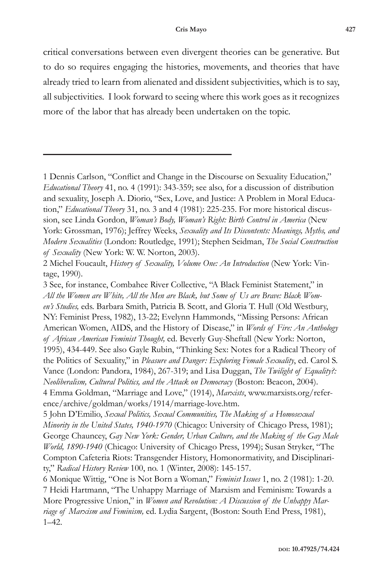critical conversations between even divergent theories can be generative. But to do so requires engaging the histories, movements, and theories that have already tried to learn from alienated and dissident subjectivities, which is to say, all subjectivities. I look forward to seeing where this work goes as it recognizes more of the labor that has already been undertaken on the topic.

<sup>1</sup> Dennis Carlson, "Conflict and Change in the Discourse on Sexuality Education," *Educational Theory* 41, no. 4 (1991): 343-359; see also, for a discussion of distribution and sexuality, Joseph A. Diorio, "Sex, Love, and Justice: A Problem in Moral Education," *Educational Theory* 31, no. 3 and 4 (1981): 225-235. For more historical discussion, see Linda Gordon, *Woman's Body, Woman's Right: Birth Control in America* (New York: Grossman, 1976); Jeffrey Weeks, *Sexuality and Its Discontents: Meanings, Myths, and Modern Sexualities* (London: Routledge, 1991); Stephen Seidman, *The Social Construction of Sexuality* (New York: W. W. Norton, 2003).

<sup>2</sup> Michel Foucault, *History of Sexuality, Volume One: An Introduction* (New York: Vintage, 1990).

<sup>3</sup> See, for instance, Combahee River Collective, "A Black Feminist Statement," in *All the Women are White, All the Men are Black, but Some of Us are Brave: Black Women's Studies,* eds. Barbara Smith, Patricia B. Scott, and Gloria T. Hull (Old Westbury, NY: Feminist Press, 1982), 13-22; Evelynn Hammonds, "Missing Persons: African American Women, AIDS, and the History of Disease," in *Words of Fire: An Anthology of African American Feminist Thought,* ed. Beverly Guy-Sheftall (New York: Norton, 1995), 434-449. See also Gayle Rubin, "Thinking Sex: Notes for a Radical Theory of the Politics of Sexuality," in *Pleasure and Danger: Exploring Female Sexuality*, ed. Carol S. Vance (London: Pandora, 1984), 267-319; and Lisa Duggan, *The Twilight of Equality?: Neoliberalism, Cultural Politics, and the Attack on Democracy* (Boston: Beacon, 2004). 4 Emma Goldman, "Marriage and Love," (1914), *Marxists*, www.marxists.org/reference/archive/goldman/works/1914/marriage-love.htm.

<sup>5</sup> John D'Emilio, *Sexual Politics, Sexual Communities, The Making of a Homosexual Minority in the United States, 1940-1970* (Chicago: University of Chicago Press, 1981); George Chauncey, *Gay New York: Gender, Urban Culture, and the Making of the Gay Male World, 1890-1940* (Chicago: University of Chicago Press, 1994); Susan Stryker, "The Compton Cafeteria Riots: Transgender History, Homonormativity, and Disciplinarity," *Radical History Review* 100, no. 1 (Winter, 2008): 145-157.

<sup>6</sup> Monique Wittig, "One is Not Born a Woman," *Feminist Issues* 1, no. 2 (1981): 1-20. 7 Heidi Hartmann, "The Unhappy Marriage of Marxism and Feminism: Towards a More Progressive Union," in *Women and Revolution: A Discussion of the Unhappy Marriage of Marxism and Feminism,* ed. Lydia Sargent, (Boston: South End Press, 1981), 1–42.